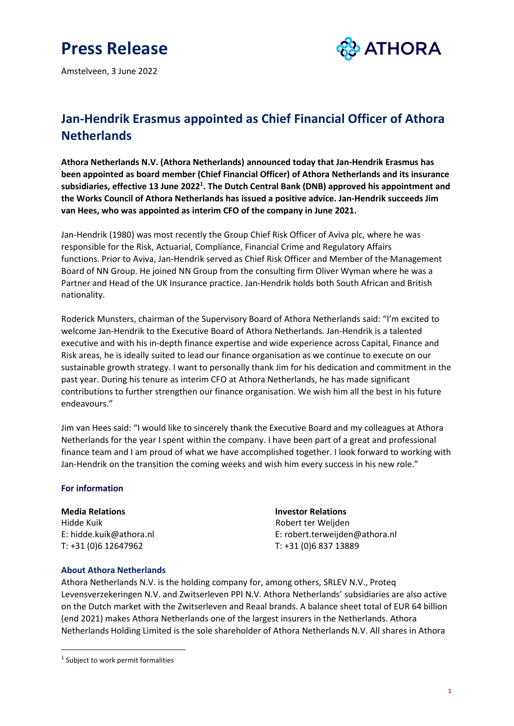# **Press Release**

Amstelveen, 3 June 2022



## **Jan-Hendrik Erasmus appointed as Chief Financial Officer of Athora Netherlands**

**Athora Netherlands N.V. (Athora Netherlands) announced today that Jan-Hendrik Erasmus has been appointed as board member (Chief Financial Officer) of Athora Netherlands and its insurance subsidiaries, effective 13 June 2022<sup>1</sup> . The Dutch Central Bank (DNB) approved his appointment and the Works Council of Athora Netherlands has issued a positive advice. Jan-Hendrik succeeds Jim van Hees, who was appointed as interim CFO of the company in June 2021.**

Jan-Hendrik (1980) was most recently the Group Chief Risk Officer of Aviva plc, where he was responsible for the Risk, Actuarial, Compliance, Financial Crime and Regulatory Affairs functions. Prior to Aviva, Jan-Hendrik served as Chief Risk Officer and Member of the Management Board of NN Group. He joined NN Group from the consulting firm Oliver Wyman where he was a Partner and Head of the UK Insurance practice. Jan-Hendrik holds both South African and British nationality.

Roderick Munsters, chairman of the Supervisory Board of Athora Netherlands said: "I'm excited to welcome Jan-Hendrik to the Executive Board of Athora Netherlands. Jan-Hendrik is a talented executive and with his in-depth finance expertise and wide experience across Capital, Finance and Risk areas, he is ideally suited to lead our finance organisation as we continue to execute on our sustainable growth strategy. I want to personally thank Jim for his dedication and commitment in the past year. During his tenure as interim CFO at Athora Netherlands, he has made significant contributions to further strengthen our finance organisation. We wish him all the best in his future endeavours."

Jim van Hees said: "I would like to sincerely thank the Executive Board and my colleagues at Athora Netherlands for the year I spent within the company. I have been part of a great and professional finance team and I am proud of what we have accomplished together. I look forward to working with Jan-Hendrik on the transition the coming weeks and wish him every success in his new role."

### **For information**

Hidde Kuik **Robert ter Weijden** T: +31 (0)6 12647962 T: +31 (0)6 837 13889

### **Media Relations Investor Relations**

E: hidde.kuik@athora.nl E: robert.terweijden@athora.nl

### **About Athora Netherlands**

Athora Netherlands N.V. is the holding company for, among others, SRLEV N.V., Proteq Levensverzekeringen N.V. and Zwitserleven PPI N.V. Athora Netherlands' subsidiaries are also active on the Dutch market with the Zwitserleven and Reaal brands. A balance sheet total of EUR 64 billion (end 2021) makes Athora Netherlands one of the largest insurers in the Netherlands. Athora Netherlands Holding Limited is the sole shareholder of Athora Netherlands N.V. All shares in Athora

<sup>&</sup>lt;sup>1</sup> Subject to work permit formalities